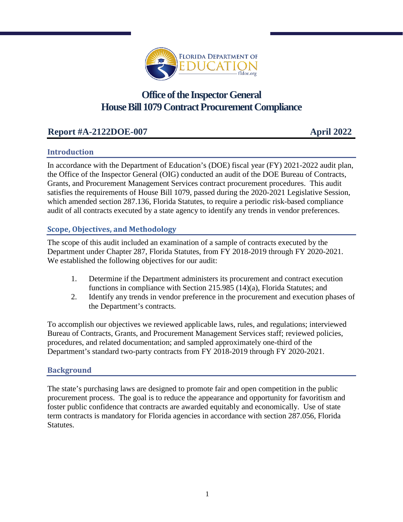

# **Office of the Inspector General House Bill 1079 Contract Procurement Compliance**

# **Report #A-2122DOE-007 April 2022**

## **Introduction**

In accordance with the Department of Education's (DOE) fiscal year (FY) 2021-2022 audit plan, the Office of the Inspector General (OIG) conducted an audit of the DOE Bureau of Contracts, Grants, and Procurement Management Services contract procurement procedures. This audit satisfies the requirements of House Bill 1079, passed during the 2020-2021 Legislative Session, which amended section 287.136, Florida Statutes, to require a periodic risk-based compliance audit of all contracts executed by a state agency to identify any trends in vendor preferences.

## **Scope, Objectives, and Methodology**

The scope of this audit included an examination of a sample of contracts executed by the Department under Chapter 287, Florida Statutes, from FY 2018-2019 through FY 2020-2021. We established the following objectives for our audit:

- 1. Determine if the Department administers its procurement and contract execution functions in compliance with Section 215.985 (14)(a), Florida Statutes; and
- 2. Identify any trends in vendor preference in the procurement and execution phases of the Department's contracts.

To accomplish our objectives we reviewed applicable laws, rules, and regulations; interviewed Bureau of Contracts, Grants, and Procurement Management Services staff; reviewed policies, procedures, and related documentation; and sampled approximately one-third of the Department's standard two-party contracts from FY 2018-2019 through FY 2020-2021.

### **Background**

The state's purchasing laws are designed to promote fair and open competition in the public procurement process. The goal is to reduce the appearance and opportunity for favoritism and foster public confidence that contracts are awarded equitably and economically. Use of state term contracts is mandatory for Florida agencies in accordance with section 287.056, Florida Statutes.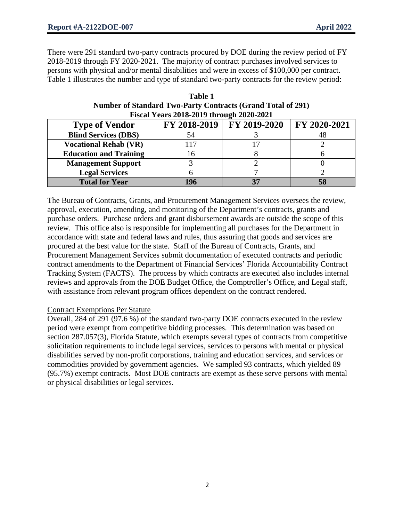There were 291 standard two-party contracts procured by DOE during the review period of FY 2018-2019 through FY 2020-2021. The majority of contract purchases involved services to persons with physical and/or mental disabilities and were in excess of \$100,000 per contract. Table 1 illustrates the number and type of standard two-party contracts for the review period:

| Fiscal Teal's 2010-2019 uifough 2020-2021 |           |                             |              |
|-------------------------------------------|-----------|-----------------------------|--------------|
| <b>Type of Vendor</b>                     |           | FY 2018-2019   FY 2019-2020 | FY 2020-2021 |
| <b>Blind Services (DBS)</b>               | 54        |                             |              |
| <b>Vocational Rehab (VR)</b>              | 117       |                             |              |
| <b>Education and Training</b>             | $10^{-7}$ |                             |              |
| <b>Management Support</b>                 |           |                             |              |
| <b>Legal Services</b>                     |           |                             |              |
| <b>Total for Year</b>                     |           |                             |              |

**Table 1 Number of Standard Two-Party Contracts (Grand Total of 291) Fiscal Years 2018-2019 through 2020-2021**

The Bureau of Contracts, Grants, and Procurement Management Services oversees the review, approval, execution, amending, and monitoring of the Department's contracts, grants and purchase orders. Purchase orders and grant disbursement awards are outside the scope of this review. This office also is responsible for implementing all purchases for the Department in accordance with state and federal laws and rules, thus assuring that goods and services are procured at the best value for the state. Staff of the Bureau of Contracts, Grants, and Procurement Management Services submit documentation of executed contracts and periodic contract amendments to the Department of Financial Services' Florida Accountability Contract Tracking System (FACTS). The process by which contracts are executed also includes internal reviews and approvals from the DOE Budget Office, the Comptroller's Office, and Legal staff, with assistance from relevant program offices dependent on the contract rendered.

#### Contract Exemptions Per Statute

Overall, 284 of 291 (97.6 %) of the standard two-party DOE contracts executed in the review period were exempt from competitive bidding processes. This determination was based on section 287.057(3), Florida Statute, which exempts several types of contracts from competitive solicitation requirements to include legal services, services to persons with mental or physical disabilities served by non-profit corporations, training and education services, and services or commodities provided by government agencies. We sampled 93 contracts, which yielded 89 (95.7%) exempt contracts. Most DOE contracts are exempt as these serve persons with mental or physical disabilities or legal services.